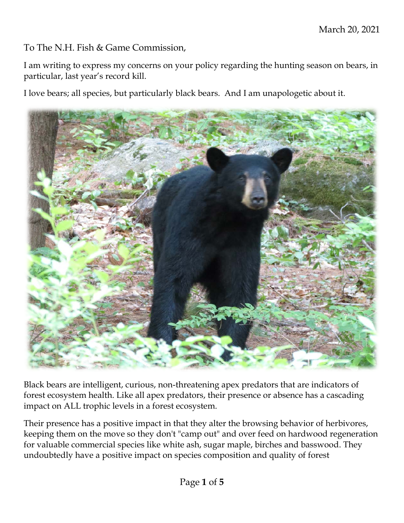To The N.H. Fish & Game Commission,

I am writing to express my concerns on your policy regarding the hunting season on bears, in particular, last year's record kill.

I love bears; all species, but particularly black bears. And I am unapologetic about it.



Black bears are intelligent, curious, non-threatening apex predators that are indicators of forest ecosystem health. Like all apex predators, their presence or absence has a cascading impact on ALL trophic levels in a forest ecosystem.

Their presence has a positive impact in that they alter the browsing behavior of herbivores, keeping them on the move so they don't "camp out" and over feed on hardwood regeneration for valuable commercial species like white ash, sugar maple, birches and basswood. They undoubtedly have a positive impact on species composition and quality of forest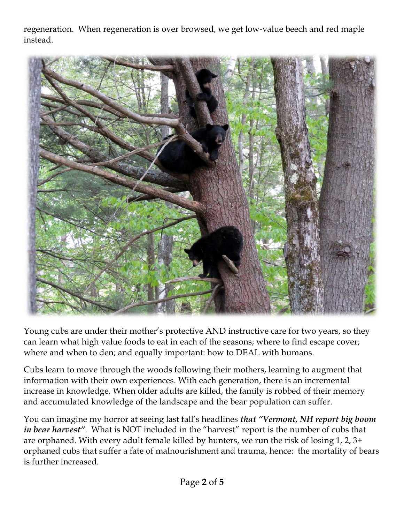regeneration. When regeneration is over browsed, we get low-value beech and red maple instead.



Young cubs are under their mother's protective AND instructive care for two years, so they can learn what high value foods to eat in each of the seasons; where to find escape cover; where and when to den; and equally important: how to DEAL with humans.

Cubs learn to move through the woods following their mothers, learning to augment that information with their own experiences. With each generation, there is an incremental increase in knowledge. When older adults are killed, the family is robbed of their memory and accumulated knowledge of the landscape and the bear population can suffer.

You can imagine my horror at seeing last fall's headlines *that "Vermont, NH report big boom in bear harvest"*. What is NOT included in the "harvest" report is the number of cubs that are orphaned. With every adult female killed by hunters, we run the risk of losing 1, 2, 3+ orphaned cubs that suffer a fate of malnourishment and trauma, hence: the mortality of bears is further increased.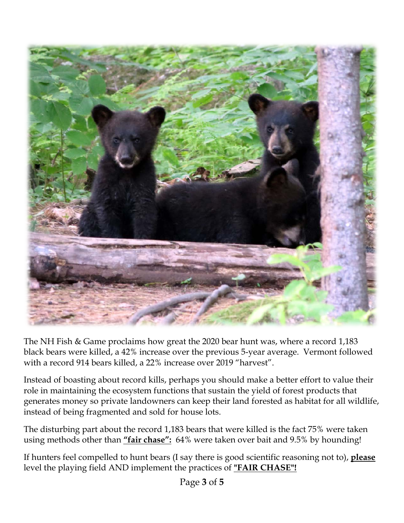

The NH Fish & Game proclaims how great the 2020 bear hunt was, where a record 1,183 black bears were killed, a 42% increase over the previous 5-year average. Vermont followed with a record 914 bears killed, a 22% increase over 2019 "harvest".

Instead of boasting about record kills, perhaps you should make a better effort to value their role in maintaining the ecosystem functions that sustain the yield of forest products that generates money so private landowners can keep their land forested as habitat for all wildlife, instead of being fragmented and sold for house lots.

The disturbing part about the record 1,183 bears that were killed is the fact 75% were taken using methods other than **"fair chase":** 64% were taken over bait and 9.5% by hounding!

If hunters feel compelled to hunt bears (I say there is good scientific reasoning not to), **please**  level the playing field AND implement the practices of **"FAIR CHASE"!**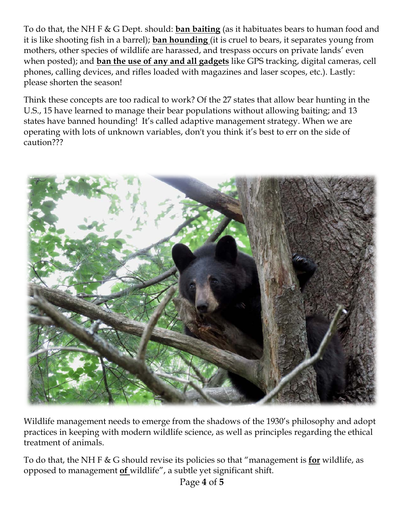To do that, the NH F & G Dept. should: **ban baiting** (as it habituates bears to human food and it is like shooting fish in a barrel); **ban hounding** (it is cruel to bears, it separates young from mothers, other species of wildlife are harassed, and trespass occurs on private lands' even when posted); and **ban the use of any and all gadgets** like GPS tracking, digital cameras, cell phones, calling devices, and rifles loaded with magazines and laser scopes, etc.). Lastly: please shorten the season!

Think these concepts are too radical to work? Of the 27 states that allow bear hunting in the U.S., 15 have learned to manage their bear populations without allowing baiting; and 13 states have banned hounding! It's called adaptive management strategy. When we are operating with lots of unknown variables, don't you think it's best to err on the side of caution???



Wildlife management needs to emerge from the shadows of the 1930's philosophy and adopt practices in keeping with modern wildlife science, as well as principles regarding the ethical treatment of animals.

To do that, the NH F & G should revise its policies so that "management is **for** wildlife, as opposed to management **of** wildlife", a subtle yet significant shift.